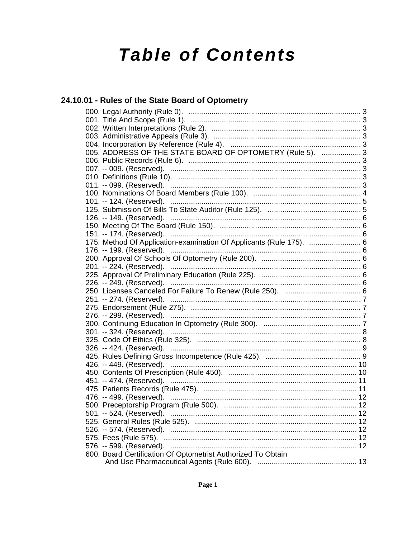# **Table of Contents**

## 24.10.01 - Rules of the State Board of Optometry

| 005. ADDRESS OF THE STATE BOARD OF OPTOMETRY (Rule 5).  3           |  |
|---------------------------------------------------------------------|--|
|                                                                     |  |
|                                                                     |  |
|                                                                     |  |
|                                                                     |  |
|                                                                     |  |
|                                                                     |  |
|                                                                     |  |
|                                                                     |  |
|                                                                     |  |
|                                                                     |  |
| 175. Method Of Application-examination Of Applicants (Rule 175).  6 |  |
|                                                                     |  |
|                                                                     |  |
|                                                                     |  |
|                                                                     |  |
|                                                                     |  |
|                                                                     |  |
|                                                                     |  |
|                                                                     |  |
|                                                                     |  |
|                                                                     |  |
|                                                                     |  |
|                                                                     |  |
|                                                                     |  |
|                                                                     |  |
|                                                                     |  |
|                                                                     |  |
|                                                                     |  |
|                                                                     |  |
|                                                                     |  |
|                                                                     |  |
|                                                                     |  |
|                                                                     |  |
|                                                                     |  |
|                                                                     |  |
|                                                                     |  |
| 600. Board Certification Of Optometrist Authorized To Obtain        |  |
|                                                                     |  |
|                                                                     |  |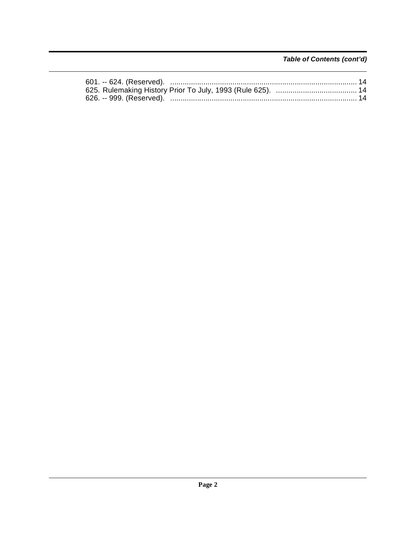Table of Contents (cont'd)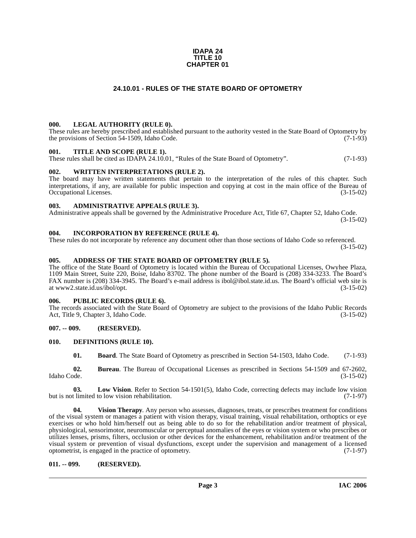## **IDAPA 24 TITLE 10 CHAPTER 01**

## **24.10.01 - RULES OF THE STATE BOARD OF OPTOMETRY**

## <span id="page-2-1"></span><span id="page-2-0"></span>**000. LEGAL AUTHORITY (RULE 0).**

These rules are hereby prescribed and established pursuant to the authority vested in the State Board of Optometry by the provisions of Section 54-1509, Idaho Code.  $(7-1-93)$ 

## <span id="page-2-2"></span>**001. TITLE AND SCOPE (RULE 1).**

These rules shall be cited as IDAPA 24.10.01, "Rules of the State Board of Optometry". (7-1-93)

## <span id="page-2-3"></span>**002. WRITTEN INTERPRETATIONS (RULE 2).**

The board may have written statements that pertain to the interpretation of the rules of this chapter. Such interpretations, if any, are available for public inspection and copying at cost in the main office of the Bureau of Occupational Licenses. (3-15-02)

## <span id="page-2-4"></span>**003. ADMINISTRATIVE APPEALS (RULE 3).**

Administrative appeals shall be governed by the Administrative Procedure Act, Title 67, Chapter 52, Idaho Code. (3-15-02)

## <span id="page-2-5"></span>**004. INCORPORATION BY REFERENCE (RULE 4).**

These rules do not incorporate by reference any document other than those sections of Idaho Code so referenced. (3-15-02)

## <span id="page-2-6"></span>**005. ADDRESS OF THE STATE BOARD OF OPTOMETRY (RULE 5).**

[The office of the State Board of Optometry is located within the Bureau of Occupational Licenses, Owyhee Plaza,](http://www2.state.id.us/ibol/opt)  1109 Main Street, Suite 220, Boise, Idaho 83702. The phone number of the Board is (208) 334-3233. The Board's FAX number is (208) 334-3945. The Board's e-mail address is ibol@ibol.state.id.us. The Board's official web site is at www2.state.id.us/ibol/opt.

## <span id="page-2-7"></span>**006. PUBLIC RECORDS (RULE 6).**

The records associated with the State Board of Optometry are subject to the provisions of the Idaho Public Records Act, Title 9, Chapter 3, Idaho Code. (3-15-02)

## <span id="page-2-8"></span>**007. -- 009. (RESERVED).**

## <span id="page-2-9"></span>**010. DEFINITIONS (RULE 10).**

<span id="page-2-13"></span><span id="page-2-12"></span><span id="page-2-11"></span>**01. Board**. The State Board of Optometry as prescribed in Section 54-1503, Idaho Code. (7-1-93)

**02. Bureau**. The Bureau of Occupational Licenses as prescribed in Sections 54-1509 and 67-2602, Idaho Code. (3-15-02)

**03.** Low Vision. Refer to Section 54-1501(5), Idaho Code, correcting defects may include low vision thinited to low vision rehabilitation. (7-1-97) but is not limited to low vision rehabilitation.

<span id="page-2-14"></span>**04. Vision Therapy**. Any person who assesses, diagnoses, treats, or prescribes treatment for conditions of the visual system or manages a patient with vision therapy, visual training, visual rehabilitation, orthoptics or eye exercises or who hold him/herself out as being able to do so for the rehabilitation and/or treatment of physical, physiological, sensorimotor, neuromuscular or perceptual anomalies of the eyes or vision system or who prescribes or utilizes lenses, prisms, filters, occlusion or other devices for the enhancement, rehabilitation and/or treatment of the visual system or prevention of visual dysfunctions, except under the supervision and management of a licensed optometrist, is engaged in the practice of optometry. (7-1-97) optometrist, is engaged in the practice of optometry.

## <span id="page-2-10"></span>**011. -- 099. (RESERVED).**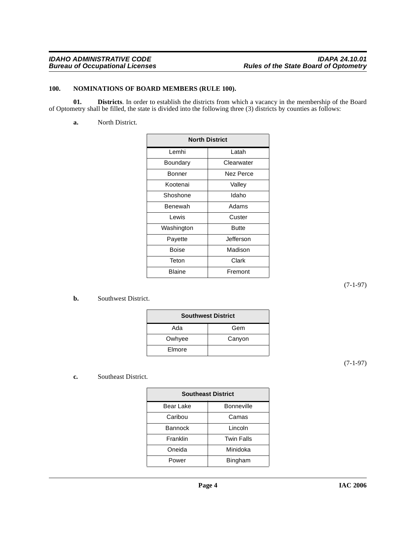## <span id="page-3-2"></span><span id="page-3-0"></span>**100. NOMINATIONS OF BOARD MEMBERS (RULE 100).**

**01. Districts**. In order to establish the districts from which a vacancy in the membership of the Board of Optometry shall be filled, the state is divided into the following three (3) districts by counties as follows:

<span id="page-3-1"></span>**a.** North District.

| <b>North District</b> |            |  |
|-----------------------|------------|--|
| Lemhi                 | Latah      |  |
| Boundary              | Clearwater |  |
| Bonner                | Nez Perce  |  |
| Kootenai              | Valley     |  |
| Shoshone              | Idaho      |  |
| Benewah               | Adams      |  |
| I ewis                | Custer     |  |
| Washington            | Butte      |  |
| Payette               | Jefferson  |  |
| Boise                 | Madison    |  |
| Teton                 | Clark      |  |
| Blaine                | Fremont    |  |

(7-1-97)

## **b.** Southwest District.

| <b>Southwest District</b> |        |  |
|---------------------------|--------|--|
| Ada                       | Gem    |  |
| Owhyee                    | Canyon |  |
| Elmore                    |        |  |

(7-1-97)

## **c.** Southeast District.

| <b>Southeast District</b> |                   |  |
|---------------------------|-------------------|--|
| Bear Lake                 | <b>Bonneville</b> |  |
| Caribou                   | Camas             |  |
| <b>Bannock</b>            | Lincoln           |  |
| Franklin                  | <b>Twin Falls</b> |  |
| Oneida                    | Minidoka          |  |
| Power                     | <b>Bingham</b>    |  |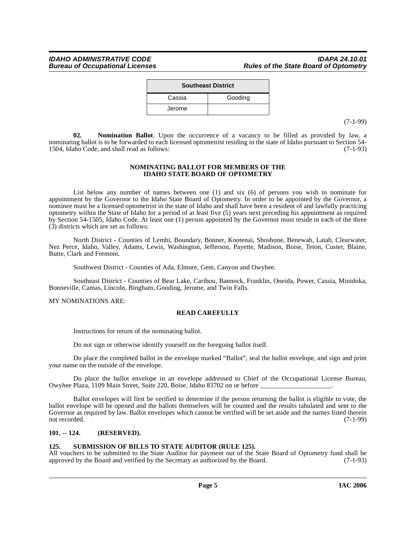| <b>Southeast District</b> |         |  |
|---------------------------|---------|--|
| Cassia                    | Gooding |  |
| Jerome                    |         |  |

(7-1-99)

<span id="page-4-2"></span>**02. Nomination Ballot**. Upon the occurrence of a vacancy to be filled as provided by law, a nominating ballot is to be forwarded to each licensed optometrist residing in the state of Idaho pursuant to Section 54-<br>1504. Idaho Code, and shall read as follows: (7-1-93) 1504, Idaho Code, and shall read as follows:

## **NOMINATING BALLOT FOR MEMBERS OF THE IDAHO STATE BOARD OF OPTOMETRY**

List below any number of names between one (1) and six (6) of persons you wish to nominate for appointment by the Governor to the Idaho State Board of Optometry. In order to be appointed by the Governor, a nominee must be a licensed optometrist in the state of Idaho and shall have been a resident of and lawfully practicing optometry within the State of Idaho for a period of at least five (5) years next preceding his appointment as required by Section 54-1505, Idaho Code. At least one (1) person appointed by the Governor must reside in each of the three (3) districts which are set as follows:

North District - Counties of Lemhi, Boundary, Bonner, Kootenai, Shoshone, Benewah, Latah, Clearwater, Nez Perce, Idaho, Valley, Adams, Lewis, Washington, Jefferson, Payette, Madison, Boise, Teton, Custer, Blaine, Butte, Clark and Fremont.

Southwest District - Counties of Ada, Elmore, Gem, Canyon and Owyhee.

Southeast District - Counties of Bear Lake, Caribou, Bannock, Franklin, Oneida, Power, Cassia, Minidoka, Bonneville, Camas, Lincoln, Bingham, Gooding, Jerome, and Twin Falls.

MY NOMINATIONS ARE:

## **READ CAREFULLY**

Instructions for return of the nominating ballot.

Do not sign or otherwise identify yourself on the foregoing ballot itself.

Do place the completed ballot in the envelope marked "Ballot", seal the ballot envelope, and sign and print your name on the outside of the envelope.

Do place the ballot envelope in an envelope addressed to Chief of the Occupational License Bureau, Owyhee Plaza, 1109 Main Street, Suite 220, Boise, Idaho 83702 on or before \_\_\_\_\_\_\_\_\_\_\_\_\_\_\_\_\_\_\_\_\_.

Ballot envelopes will first be verified to determine if the person returning the ballot is eligible to vote, the ballot envelope will be opened and the ballots themselves will be counted and the results tabulated and sent to the Governor as required by law. Ballot envelopes which cannot be verified will be set aside and the names listed therein not recorded. (7-1-99)

## <span id="page-4-0"></span>**101. -- 124. (RESERVED).**

## <span id="page-4-3"></span><span id="page-4-1"></span>**125. SUBMISSION OF BILLS TO STATE AUDITOR (RULE 125).**

All vouchers to be submitted to the State Auditor for payment out of the State Board of Optometry fund shall be approved by the Board and verified by the Secretary as authorized by the Board. (7-1-93)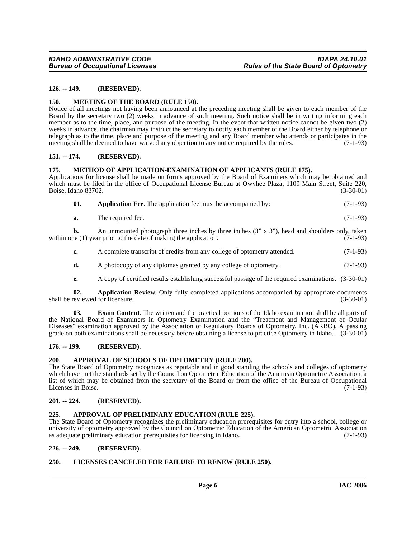## <span id="page-5-0"></span>**126. -- 149. (RESERVED).**

## <span id="page-5-16"></span><span id="page-5-1"></span>**150. MEETING OF THE BOARD (RULE 150).**

Notice of all meetings not having been announced at the preceding meeting shall be given to each member of the Board by the secretary two (2) weeks in advance of such meeting. Such notice shall be in writing informing each member as to the time, place, and purpose of the meeting. In the event that written notice cannot be given two (2) weeks in advance, the chairman may instruct the secretary to notify each member of the Board either by telephone or telegraph as to the time, place and purpose of the meeting and any Board member who attends or participates in the meeting shall be deemed to have waived any objection to any notice required by the rules. (7-1-93)

## <span id="page-5-2"></span>**151. -- 174. (RESERVED).**

## <span id="page-5-17"></span><span id="page-5-3"></span>**175. METHOD OF APPLICATION-EXAMINATION OF APPLICANTS (RULE 175).**

Applications for license shall be made on forms approved by the Board of Examiners which may be obtained and which must be filed in the office of Occupational License Bureau at Owyhee Plaza, 1109 Main Street, Suite 220,<br>Boise, Idaho 83702. (3-30-01) Boise, Idaho 83702.

<span id="page-5-10"></span>

| 01. |  |  | <b>Application Fee.</b> The application fee must be accompanied by: | $(7-1-93)$ |
|-----|--|--|---------------------------------------------------------------------|------------|
|-----|--|--|---------------------------------------------------------------------|------------|

**a.** The required fee. (7-1-93)

**b.** An unmounted photograph three inches by three inches  $(3'' \times 3'')$ , head and shoulders only, taken ne  $(1)$  year prior to the date of making the application.  $(7-1-93)$ within one  $(1)$  year prior to the date of making the application.

- **c.** A complete transcript of credits from any college of optometry attended.  $(7-1-93)$
- **d.** A photocopy of any diplomas granted by any college of optometry. (7-1-93)
- <span id="page-5-14"></span><span id="page-5-11"></span>**e.** A copy of certified results establishing successful passage of the required examinations. (3-30-01)

**02. Application Review**. Only fully completed applications accompanied by appropriate documents reviewed for licensure. (3-30-01) shall be reviewed for licensure.

**03. Exam Content**. The written and the practical portions of the Idaho examination shall be all parts of the National Board of Examiners in Optometry Examination and the "Treatment and Management of Ocular Diseases" examination approved by the Association of Regulatory Boards of Optometry, Inc. (ARBO). A passing grade on both examinations shall be necessary before obtaining a license to practice Optometry in Idaho. (3-30-01)

## <span id="page-5-4"></span>**176. -- 199. (RESERVED).**

## <span id="page-5-13"></span><span id="page-5-5"></span>**200. APPROVAL OF SCHOOLS OF OPTOMETRY (RULE 200).**

The State Board of Optometry recognizes as reputable and in good standing the schools and colleges of optometry which have met the standards set by the Council on Optometric Education of the American Optometric Association, a list of which may be obtained from the secretary of the Board or from the office of the Bureau of Occupational<br>Licenses in Boise. (7-1-93) Licenses in Boise.

## <span id="page-5-6"></span>**201. -- 224. (RESERVED).**

## <span id="page-5-12"></span><span id="page-5-7"></span>**225. APPROVAL OF PRELIMINARY EDUCATION (RULE 225).**

The State Board of Optometry recognizes the preliminary education prerequisites for entry into a school, college or university of optometry approved by the Council on Optometric Education of the American Optometric Association as adequate preliminary education prerequisites for licensing in Idaho. (7-1-93)

## <span id="page-5-8"></span>**226. -- 249. (RESERVED).**

## <span id="page-5-15"></span><span id="page-5-9"></span>**250. LICENSES CANCELED FOR FAILURE TO RENEW (RULE 250).**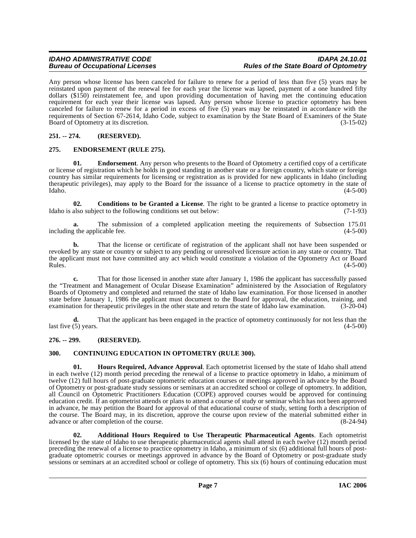Any person whose license has been canceled for failure to renew for a period of less than five (5) years may be reinstated upon payment of the renewal fee for each year the license was lapsed, payment of a one hundred fifty dollars (\$150) reinstatement fee, and upon providing documentation of having met the continuing education requirement for each year their license was lapsed. Any person whose license to practice optometry has been canceled for failure to renew for a period in excess of five (5) years may be reinstated in accordance with the requirements of Section 67-2614, Idaho Code, subject to examination by the State Board of Examiners of the State<br>Board of Optometry at its discretion. (3-15-02) Board of Optometry at its discretion.

## <span id="page-6-0"></span>**251. -- 274. (RESERVED).**

## <span id="page-6-7"></span><span id="page-6-1"></span>**275. ENDORSEMENT (RULE 275).**

**01. Endorsement**. Any person who presents to the Board of Optometry a certified copy of a certificate or license of registration which he holds in good standing in another state or a foreign country, which state or foreign country has similar requirements for licensing or registration as is provided for new applicants in Idaho (including therapeutic privileges), may apply to the Board for the issuance of a license to practice optometry in the state of Idaho.  $(4-5-00)$  $\lambda$ Idaho.  $(4-5-00)$ 

<span id="page-6-5"></span>**02. Conditions to be Granted a License**. The right to be granted a license to practice optometry in Idaho is also subject to the following conditions set out below:  $(7-1-93)$ 

**a.** The submission of a completed application meeting the requirements of Subsection 175.01 g the applicable fee. (4-5-00) including the applicable fee.

**b.** That the license or certificate of registration of the applicant shall not have been suspended or revoked by any state or country or subject to any pending or unresolved licensure action in any state or country. That the applicant must not have committed any act which would constitute a violation of the Optometry Act or Board<br>Rules. (4-5-00)  $Rules.$  (4-5-00)

**c.** That for those licensed in another state after January 1, 1986 the applicant has successfully passed the "Treatment and Management of Ocular Disease Examination" administered by the Association of Regulatory Boards of Optometry and completed and returned the state of Idaho law examination. For those licensed in another state before January 1, 1986 the applicant must document to the Board for approval, the education, training, and examination for therapeutic privileges in the other state and return the state of Idaho law examination. (3-20-04)

**d.** That the applicant has been engaged in the practice of optometry continuously for not less than the  $\text{last five (5) years.}$  (4-5-00)

## <span id="page-6-2"></span>**276. -- 299. (RESERVED).**

## <span id="page-6-6"></span><span id="page-6-3"></span>**300. CONTINUING EDUCATION IN OPTOMETRY (RULE 300).**

<span id="page-6-8"></span>**01. Hours Required, Advance Approval**. Each optometrist licensed by the state of Idaho shall attend in each twelve (12) month period preceding the renewal of a license to practice optometry in Idaho, a minimum of twelve (12) full hours of post-graduate optometric education courses or meetings approved in advance by the Board of Optometry or post-graduate study sessions or seminars at an accredited school or college of optometry. In addition, all Council on Optometric Practitioners Education (COPE) approved courses would be approved for continuing education credit. If an optometrist attends or plans to attend a course of study or seminar which has not been approved in advance, he may petition the Board for approval of that educational course of study, setting forth a description of the course. The Board may, in its discretion, approve the course upon review of the material submitted either in advance or after completion of the course. advance or after completion of the course.

<span id="page-6-4"></span>**02. Additional Hours Required to Use Therapeutic Pharmaceutical Agents**. Each optometrist licensed by the state of Idaho to use therapeutic pharmaceutical agents shall attend in each twelve (12) month period preceding the renewal of a license to practice optometry in Idaho, a minimum of six (6) additional full hours of postgraduate optometric courses or meetings approved in advance by the Board of Optometry or post-graduate study sessions or seminars at an accredited school or college of optometry. This six (6) hours of continuing education must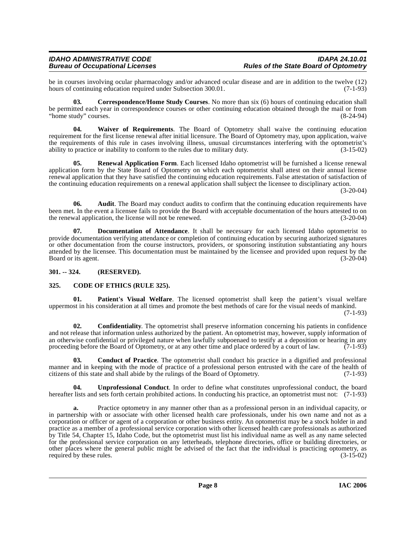be in courses involving ocular pharmacology and/or advanced ocular disease and are in addition to the twelve (12) hours of continuing education required under Subsection 300.01. (7-1-93) hours of continuing education required under Subsection 300.01.

<span id="page-7-5"></span>**03. Correspondence/Home Study Courses**. No more than six (6) hours of continuing education shall be permitted each year in correspondence courses or other continuing education obtained through the mail or from "home study" courses. (8-24-94)

<span id="page-7-10"></span>**04. Waiver of Requirements**. The Board of Optometry shall waive the continuing education requirement for the first license renewal after initial licensure. The Board of Optometry may, upon application, waive the requirements of this rule in cases involving illness, unusual circumstances interfering with the optometrist's ability to practice or inability to conform to the rules due to military duty. (3-15-02)

<span id="page-7-8"></span>**05. Renewal Application Form**. Each licensed Idaho optometrist will be furnished a license renewal application form by the State Board of Optometry on which each optometrist shall attest on their annual license renewal application that they have satisfied the continuing education requirements. False attestation of satisfaction of the continuing education requirements on a renewal application shall subject the licensee to disciplinary action.

(3-20-04)

**06.** Audit. The Board may conduct audits to confirm that the continuing education requirements have been met. In the event a licensee fails to provide the Board with acceptable documentation of the hours attested to on the renewal application, the license will not be renewed. (3-20-04) the renewal application, the license will not be renewed.

<span id="page-7-6"></span>**07. Documentation of Attendance**. It shall be necessary for each licensed Idaho optometrist to provide documentation verifying attendance or completion of continuing education by securing authorized signatures or other documentation from the course instructors, providers, or sponsoring institution substantiating any hours attended by the licensee. This documentation must be maintained by the licensee and provided upon request by the<br>(3-20-04) (3-20-04) Board or its agent.

<span id="page-7-0"></span>**301. -- 324. (RESERVED).**

## <span id="page-7-2"></span><span id="page-7-1"></span>**325. CODE OF ETHICS (RULE 325).**

<span id="page-7-7"></span>**Patient's Visual Welfare**. The licensed optometrist shall keep the patient's visual welfare uppermost in his consideration at all times and promote the best methods of care for the visual needs of mankind.

(7-1-93)

<span id="page-7-4"></span>**02. Confidentiality**. The optometrist shall preserve information concerning his patients in confidence and not release that information unless authorized by the patient. An optometrist may, however, supply information of an otherwise confidential or privileged nature when lawfully subpoenaed to testify at a deposition or hearing in any proceeding before the Board of Optometry, or at any other time and place ordered by a court of law.  $(7$ proceeding before the Board of Optometry, or at any other time and place ordered by a court of law.

<span id="page-7-3"></span>**03. Conduct of Practice**. The optometrist shall conduct his practice in a dignified and professional manner and in keeping with the mode of practice of a professional person entrusted with the care of the health of citizens of this state and shall abide by the rulings of the Board of Optometry. (7-1-93) citizens of this state and shall abide by the rulings of the Board of Optometry.

<span id="page-7-9"></span>**04. Unprofessional Conduct**. In order to define what constitutes unprofessional conduct, the board hereafter lists and sets forth certain prohibited actions. In conducting his practice, an optometrist must not: (7-1-93)

**a.** Practice optometry in any manner other than as a professional person in an individual capacity, or in partnership with or associate with other licensed health care professionals, under his own name and not as a corporation or officer or agent of a corporation or other business entity. An optometrist may be a stock holder in and practice as a member of a professional service corporation with other licensed health care professionals as authorized by Title 54, Chapter 15, Idaho Code, but the optometrist must list his individual name as well as any name selected for the professional service corporation on any letterheads, telephone directories, office or building directories, or other places where the general public might be advised of the fact that the individual is practicing optometry, as required by these rules.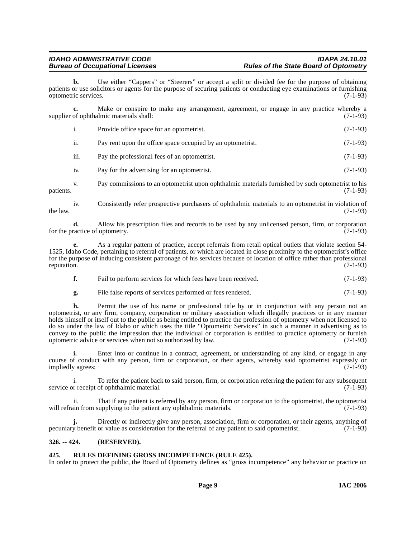## **IDAHO ADMINISTRATIVE CODE IDAPA 24.10.01 Rules of the State Board of Optometry**

**b.** Use either "Cappers" or "Steerers" or accept a split or divided fee for the purpose of obtaining patients or use solicitors or agents for the purpose of securing patients or conducting eye examinations or furnishing optometric services. (7-1-93)

**c.** Make or conspire to make any arrangement, agreement, or engage in any practice whereby a supplier of ophthalmic materials shall: (7-1-93)

|                  | Provide office space for an optometrist.                   | $(7-1-93)$ |
|------------------|------------------------------------------------------------|------------|
| 11.              | Pay rent upon the office space occupied by an optometrist. | $(7-1-93)$ |
| $\cdots$<br>111. | Pay the professional fees of an optometrist.               | $(7-1-93)$ |
|                  |                                                            |            |

iv. Pay for the advertising for an optometrist. (7-1-93)

v. Pay commissions to an optometrist upon ophthalmic materials furnished by such optometrist to his patients. (7-1-93)

iv. Consistently refer prospective purchasers of ophthalmic materials to an optometrist in violation of the law.  $(7-1-93)$ 

**d.** Allow his prescription files and records to be used by any unlicensed person, firm, or corporation ractice of optometry. (7-1-93) for the practice of optometry.

**e.** As a regular pattern of practice, accept referrals from retail optical outlets that violate section 54- 1525, Idaho Code, pertaining to referral of patients, or which are located in close proximity to the optometrist's office for the purpose of inducing consistent patronage of his services because of location of office rather than professional reputation. (7-1-93) reputation. (7-1-93)

| Fail to perform services for which fees have been received. | $(7-1-93)$ |
|-------------------------------------------------------------|------------|
|-------------------------------------------------------------|------------|

**g.** File false reports of services performed or fees rendered. (7-1-93)

**h.** Permit the use of his name or professional title by or in conjunction with any person not an optometrist, or any firm, company, corporation or military association which illegally practices or in any manner holds himself or itself out to the public as being entitled to practice the profession of optometry when not licensed to do so under the law of Idaho or which uses the title "Optometric Services" in such a manner in advertising as to convey to the public the impression that the individual or corporation is entitled to practice optometry or furnish optometric advice or services when not so authorized by law. (7-1-93)

**i.** Enter into or continue in a contract, agreement, or understanding of any kind, or engage in any course of conduct with any person, firm or corporation, or their agents, whereby said optometrist expressly or impliedly agrees: (7-1-93)

i. To refer the patient back to said person, firm, or corporation referring the patient for any subsequent or receipt of ophthalmic material. (7-1-93) service or receipt of ophthalmic material.

That if any patient is referred by any person, firm or corporation to the optometrist, the optometrist will refrain from supplying to the patient any ophthalmic materials. (7-1-93)

**j.** Directly or indirectly give any person, association, firm or corporation, or their agents, anything of pecuniary benefit or value as consideration for the referral of any patient to said optometrist. (7-1-93)

## <span id="page-8-0"></span>**326. -- 424. (RESERVED).**

## <span id="page-8-2"></span><span id="page-8-1"></span>**425. RULES DEFINING GROSS INCOMPETENCE (RULE 425).**

In order to protect the public, the Board of Optometry defines as "gross incompetence" any behavior or practice on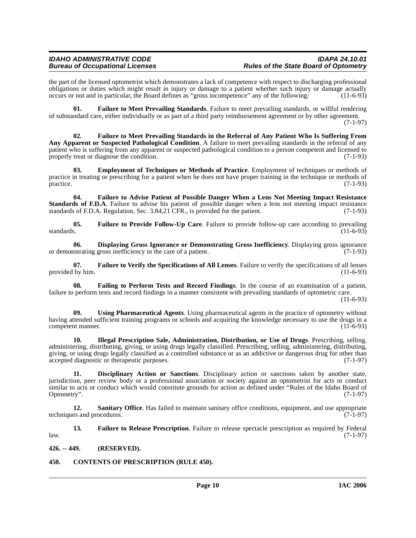the part of the licensed optometrist which demonstrates a lack of competence with respect to discharging professional obligations or duties which might result in injury or damage to a patient whether such injury or damage actually occurs or not and in particular, the Board defines as "gross incompetence" any of the following: (11-6-93) occurs or not and in particular, the Board defines as "gross incompetence" any of the following:

<span id="page-9-9"></span>**01. Failure to Meet Prevailing Standards**. Failure to meet prevailing standards, or willful rendering of substandard care, either individually or as part of a third party reimbursement agreement or by other agreement. (7-1-97)

<span id="page-9-8"></span>**02. Failure to Meet Prevailing Standards in the Referral of Any Patient Who Is Suffering From Any Apparent or Suspected Pathological Condition**. A failure to meet prevailing standards in the referral of any patient who is suffering from any apparent or suspected pathological condition to a person competent and licensed to properly treat or diagnose the condition. (7-1-93)

<span id="page-9-5"></span>**03. Employment of Techniques or Methods of Practice**. Employment of techniques or methods of practice in treating or prescribing for a patient when he does not have proper training in the technique or methods of practice. (7-1-93)  $practive.$  (7-1-93)

<span id="page-9-7"></span>**04. Failure to Advise Patient of Possible Danger When a Lens Not Meeting Impact Resistance Standards of F.D.A**. Failure to advise his patient of possible danger when a lens not meeting impact resistance standards of F.D.A. Regulation, Sec. 3.84,21 CFR., is provided for the patient. (7-1-93)

<span id="page-9-10"></span>**05.** Failure to Provide Follow-Up Care. Failure to provide follow-up care according to prevailing standards. (11-6-93) standards.  $(11-6-93)$ 

<span id="page-9-4"></span>**06. Displaying Gross Ignorance or Demonstrating Gross Inefficiency**. Displaying gross ignorance **or Strating gross** inefficiency in the care of a patient. or demonstrating gross inefficiency in the care of a patient.

<span id="page-9-12"></span>**07. Failure to Verify the Specifications of All Lenses**. Failure to verify the specifications of all lenses provided by him. (11-6-93)

<span id="page-9-6"></span>**08. Failing to Perform Tests and Record Findings**. In the course of an examination of a patient, failure to perform tests and record findings in a manner consistent with prevailing standards of optometric care.

(11-6-93)

<span id="page-9-15"></span>**09. Using Pharmaceutical Agents**. Using pharmaceutical agents in the practice of optometry without having attended sufficient training programs or schools and acquiring the knowledge necessary to use the drugs in a competent manner. (11-6-93)

<span id="page-9-13"></span>**10. Illegal Prescription Sale, Administration, Distribution, or Use of Drugs**. Prescribing, selling, administering, distributing, giving, or using drugs legally classified. Prescribing, selling, administering, distributing, giving, or using drugs legally classified as a controlled substance or as an addictive or dangerous drug for other than accepted diagnostic or therapeutic purposes. (7-1-97)

<span id="page-9-3"></span>**11. Disciplinary Action or Sanctions**. Disciplinary action or sanctions taken by another state, jurisdiction, peer review body or a professional association or society against an optometrist for acts or conduct similar to acts or conduct which would constitute grounds for action as defined under "Rules of the Idaho Board of Optometry". (7-1-97)

<span id="page-9-14"></span>**12.** Sanitary Office. Has failed to maintain sanitary office conditions, equipment, and use appropriate es and procedures. (7-1-97) techniques and procedures.

<span id="page-9-11"></span>**13. Failure to Release Prescription**. Failure to release spectacle prescription as required by Federal law. (7-1-97)

<span id="page-9-0"></span>**426. -- 449. (RESERVED).**

<span id="page-9-2"></span><span id="page-9-1"></span>**450. CONTENTS OF PRESCRIPTION (RULE 450).**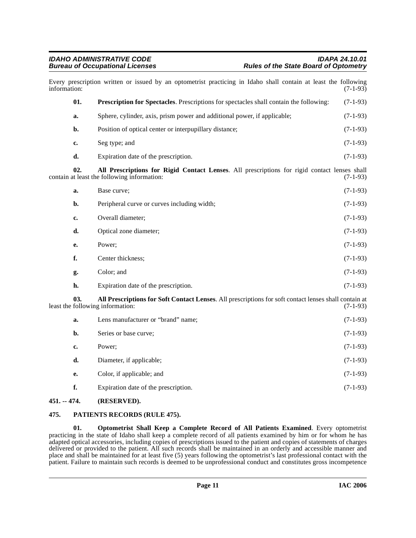<span id="page-10-6"></span><span id="page-10-2"></span>

| information: |     | Every prescription written or issued by an optometrist practicing in Idaho shall contain at least the following                             | $(7-1-93)$ |
|--------------|-----|---------------------------------------------------------------------------------------------------------------------------------------------|------------|
|              | 01. | <b>Prescription for Spectacles.</b> Prescriptions for spectacles shall contain the following:                                               | $(7-1-93)$ |
|              | a.  | Sphere, cylinder, axis, prism power and additional power, if applicable;                                                                    | $(7-1-93)$ |
|              | b.  | Position of optical center or interpupillary distance;                                                                                      | $(7-1-93)$ |
|              | c.  | Seg type; and                                                                                                                               | $(7-1-93)$ |
|              | d.  | Expiration date of the prescription.                                                                                                        | $(7-1-93)$ |
|              | 02. | All Prescriptions for Rigid Contact Lenses. All prescriptions for rigid contact lenses shall<br>contain at least the following information: | $(7-1-93)$ |
|              | a.  | Base curve;                                                                                                                                 | $(7-1-93)$ |
|              | b.  | Peripheral curve or curves including width;                                                                                                 | $(7-1-93)$ |
|              | c.  | Overall diameter;                                                                                                                           | $(7-1-93)$ |
|              | d.  | Optical zone diameter;                                                                                                                      | $(7-1-93)$ |
|              | e.  | Power;                                                                                                                                      | $(7-1-93)$ |
|              | f.  | Center thickness;                                                                                                                           | $(7-1-93)$ |
|              | g.  | Color; and                                                                                                                                  | $(7-1-93)$ |
|              | h.  | Expiration date of the prescription.                                                                                                        | $(7-1-93)$ |
|              | 03. | All Prescriptions for Soft Contact Lenses. All prescriptions for soft contact lenses shall contain at<br>least the following information:   | $(7-1-93)$ |
|              | a.  | Lens manufacturer or "brand" name;                                                                                                          | $(7-1-93)$ |
|              | b.  | Series or base curve;                                                                                                                       | $(7-1-93)$ |
|              | c.  | Power;                                                                                                                                      | $(7-1-93)$ |
|              | d.  | Diameter, if applicable;                                                                                                                    | $(7-1-93)$ |
|              | e.  | Color, if applicable; and                                                                                                                   | $(7-1-93)$ |
|              | f.  | Expiration date of the prescription.                                                                                                        | $(7-1-93)$ |
|              |     |                                                                                                                                             |            |

## <span id="page-10-3"></span><span id="page-10-0"></span>**451. -- 474. (RESERVED).**

## <span id="page-10-5"></span><span id="page-10-1"></span>**475. PATIENTS RECORDS (RULE 475).**

<span id="page-10-4"></span>**01. Optometrist Shall Keep a Complete Record of All Patients Examined**. Every optometrist practicing in the state of Idaho shall keep a complete record of all patients examined by him or for whom he has adapted optical accessories, including copies of prescriptions issued to the patient and copies of statements of charges delivered or provided to the patient. All such records shall be maintained in an orderly and accessible manner and place and shall be maintained for at least five (5) years following the optometrist's last professional contact with the patient. Failure to maintain such records is deemed to be unprofessional conduct and constitutes gross incompetence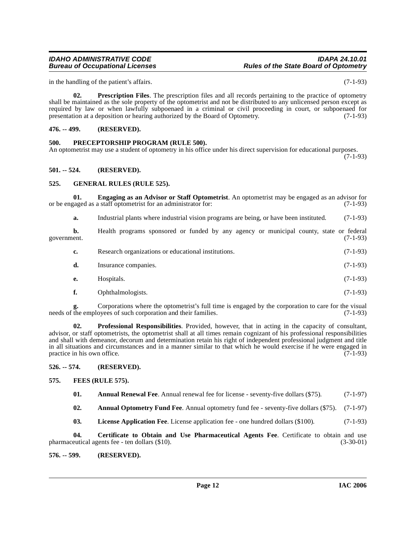## <span id="page-11-2"></span>**501. -- 524. (RESERVED).**

## <span id="page-11-12"></span><span id="page-11-3"></span>**525. GENERAL RULES (RULE 525).**

**01. Engaging as an Advisor or Staff Optometrist**. An optometrist may be engaged as an advisor for or be engaged as a staff optometrist for an administrator for: (7-1-93)

<span id="page-11-10"></span>**a.** Industrial plants where industrial vision programs are being, or have been instituted. (7-1-93)

**b.** Health programs sponsored or funded by any agency or municipal county, state or federal government. (7-1-93) government. (7-1-93)

|  | Research organizations or educational institutions. | $(7-1-93)$ |
|--|-----------------------------------------------------|------------|
|--|-----------------------------------------------------|------------|

| d. | Insurance companies. | $(7-1-93)$ |  |
|----|----------------------|------------|--|
|----|----------------------|------------|--|

- **e.** Hospitals. (7-1-93)
- <span id="page-11-16"></span>**f.** Ophthalmologists. (7-1-93)

Corporations where the optometrist's full time is engaged by the corporation to care for the visual ovees of such corporation and their families. (7-1-93) g. Corporations where the optometrist s run unneeds of the employees of such corporation and their families.

**02. Professional Responsibilities**. Provided, however, that in acting in the capacity of consultant, advisor, or staff optometrists, the optometrist shall at all times remain cognizant of his professional responsibilities and shall with demeanor, decorum and determination retain his right of independent professional judgment and title in all situations and circumstances and in a manner similar to that which he would exercise if he were engaged in practice in his own office.  $(7-1-93)$ 

<span id="page-11-4"></span>**526. -- 574. (RESERVED).**

- <span id="page-11-11"></span><span id="page-11-5"></span>**575. FEES (RULE 575).**
	- **01.** Annual Renewal Fee. Annual renewal fee for license seventy-five dollars (\$75). (7-1-97)

<span id="page-11-8"></span><span id="page-11-7"></span>**02. Annual Optometry Fund Fee**. Annual optometry fund fee - seventy-five dollars (\$75). (7-1-97)

<span id="page-11-13"></span><span id="page-11-9"></span>**03. License Application Fee**. License application fee - one hundred dollars (\$100). (7-1-93)

**04. Certificate to Obtain and Use Pharmaceutical Agents Fee**. Certificate to obtain and use pharmaceutical agents fee - ten dollars (\$10). (3-30-01)

<span id="page-11-6"></span>**576. -- 599. (RESERVED).**

# **IDAHO ADMINISTRATIVE CODE IDAPA 24.10.01**

in the handling of the patient's affairs. (7-1-93)

<span id="page-11-15"></span>**02. Prescription Files**. The prescription files and all records pertaining to the practice of optometry shall be maintained as the sole property of the optometrist and not be distributed to any unlicensed person except as required by law or when lawfully subpoenaed in a criminal or civil proceeding in court, or subpoenaed for presentation at a deposition or hearing authorized by the Board of Optometry. (7-1-93)

## <span id="page-11-0"></span>**476. -- 499. (RESERVED).**

## <span id="page-11-14"></span><span id="page-11-1"></span>**500. PRECEPTORSHIP PROGRAM (RULE 500).**

An optometrist may use a student of optometry in his office under his direct supervision for educational purposes.

(7-1-93)

**Rules of the State Board of Optometry**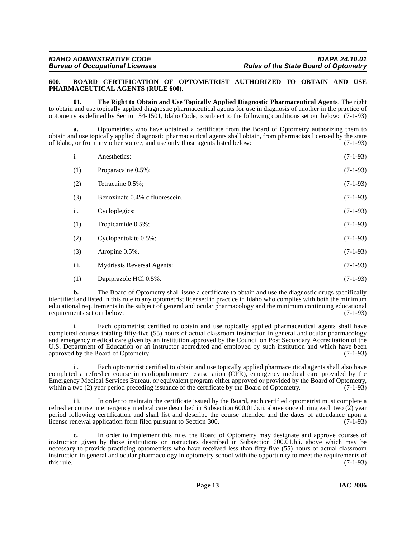## <span id="page-12-1"></span><span id="page-12-0"></span>**600. BOARD CERTIFICATION OF OPTOMETRIST AUTHORIZED TO OBTAIN AND USE PHARMACEUTICAL AGENTS (RULE 600).**

<span id="page-12-2"></span>**01. The Right to Obtain and Use Topically Applied Diagnostic Pharmaceutical Agents**. The right to obtain and use topically applied diagnostic pharmaceutical agents for use in diagnosis of another in the practice of optometry as defined by Section 54-1501, Idaho Code, is subject to the following conditions set out below: (7-1-93)

**a.** Optometrists who have obtained a certificate from the Board of Optometry authorizing them to obtain and use topically applied diagnostic pharmaceutical agents shall obtain, from pharmacists licensed by the state of Idaho, or from any other source, and use only those agents listed below: (7-1-93)

| i.   | Anesthetics:                   | $(7-1-93)$ |
|------|--------------------------------|------------|
| (1)  | Proparacaine 0.5%;             | $(7-1-93)$ |
| (2)  | Tetracaine 0.5%;               | $(7-1-93)$ |
| (3)  | Benoxinate 0.4% c fluorescein. | $(7-1-93)$ |
| ii.  | Cycloplegics:                  | $(7-1-93)$ |
| (1)  | Tropicamide 0.5%;              | $(7-1-93)$ |
| (2)  | Cyclopentolate 0.5%;           | $(7-1-93)$ |
| (3)  | Atropine 0.5%.                 | $(7-1-93)$ |
| iii. | Mydriasis Reversal Agents:     | $(7-1-93)$ |
| (1)  | Dapiprazole HCl 0.5%.          | $(7-1-93)$ |

**b.** The Board of Optometry shall issue a certificate to obtain and use the diagnostic drugs specifically identified and listed in this rule to any optometrist licensed to practice in Idaho who complies with both the minimum educational requirements in the subject of general and ocular pharmacology and the minimum continuing educational requirements set out below:

Each optometrist certified to obtain and use topically applied pharmaceutical agents shall have completed courses totaling fifty-five (55) hours of actual classroom instruction in general and ocular pharmacology and emergency medical care given by an institution approved by the Council on Post Secondary Accreditation of the U.S. Department of Education or an instructor accredited and employed by such institution and which have been approved by the Board of Optometry. (7-1-93)

ii. Each optometrist certified to obtain and use topically applied pharmaceutical agents shall also have completed a refresher course in cardiopulmonary resuscitation (CPR), emergency medical care provided by the Emergency Medical Services Bureau, or equivalent program either approved or provided by the Board of Optometry, within a two (2) year period preceding issuance of the certificate by the Board of Optometry. (7-1-93) within a two (2) year period preceding issuance of the certificate by the Board of Optometry.

iii. In order to maintain the certificate issued by the Board, each certified optometrist must complete a refresher course in emergency medical care described in Subsection 600.01.b.ii. above once during each two  $(2)$  year period following certification and shall list and describe the course attended and the dates of attendance upon a license renewal application form filed pursuant to Section 300. (7-1-93) license renewal application form filed pursuant to Section 300.

**c.** In order to implement this rule, the Board of Optometry may designate and approve courses of instruction given by those institutions or instructors described in Subsection 600.01.b.i. above which may be necessary to provide practicing optometrists who have received less than fifty-five (55) hours of actual classroom instruction in general and ocular pharmacology in optometry school with the opportunity to meet the requirements of this rule. (7-1-93) this rule.  $(7-1-93)$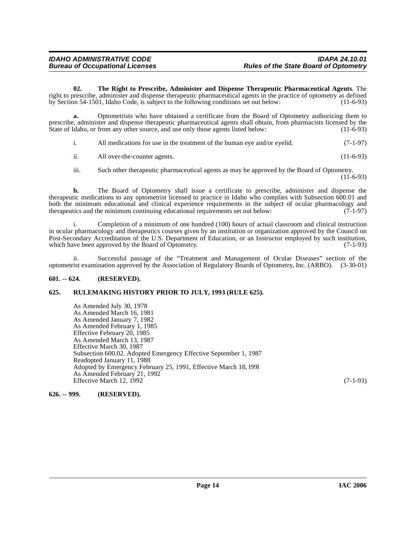<span id="page-13-3"></span>**02. The Right to Prescribe, Administer and Dispense Therapeutic Pharmaceutical Agents**. The right to prescribe, administer and dispense therapeutic pharmaceutical agents in the practice of optometry as defined<br>by Section 54-1501. Idaho Code, is subject to the following conditions set out below: (11-6-93) by Section 54-1501, Idaho Code, is subject to the following conditions set out below:

**a.** Optometrists who have obtained a certificate from the Board of Optometry authorizing them to prescribe, administer and dispense therapeutic pharmaceutical agents shall obtain, from pharmacists licensed by the State of Idaho, or from any other source, and use only those agents listed below: (11-6-93)

i. All medications for use in the treatment of the human eye and/or eyelid. (7-1-97)

ii. All over-the-counter agents. (11-6-93)

iii. Such other therapeutic pharmaceutical agents as may be approved by the Board of Optometry. (11-6-93)

**b.** The Board of Optometry shall issue a certificate to prescribe, administer and dispense the therapeutic medications to any optometrist licensed to practice in Idaho who complies with Subsection 600.01 and both the minimum educational and clinical experience requirements in the subject of ocular pharmacology and therapeutics and the minimum continuing educational requirements set out below: (7-1-97) therapeutics and the minimum continuing educational requirements set out below:

i. Completion of a minimum of one hundred (100) hours of actual classroom and clinical instruction in ocular pharmacology and therapeutics courses given by an institution or organization approved by the Council on Post-Secondary Accreditation of the U.S. Department of Education, or an Instructor employed by such institution, which have been approved by the Board of Optometry. (7-1-93)

ii. Successful passage of the "Treatment and Management of Ocular Diseases" section of the optometrist examination approved by the Association of Regulatory Boards of Optometry, Inc. (ARBO). (3-30-01)

## <span id="page-13-0"></span>**601. -- 624. (RESERVED).**

## <span id="page-13-1"></span>**625. RULEMAKING HISTORY PRIOR TO JULY, 1993 (RULE 625).**

As Amended July 30, 1978 As Amended March 16, 1981 As Amended January 7, 1982 As Amended February 1, 1985 Effective February 20, 1985 As Amended March 13, 1987 Effective March 30, 1987 Subsection 600.02. Adopted Emergency Effective September 1, 1987 Readopted January 11, 1988 Adopted by Emergency February 25, 1991, Effective March 18, l99l As Amended February 21, 1992 Effective March 12, 1992 (7-1-93)

<span id="page-13-2"></span>**626. -- 999. (RESERVED).**